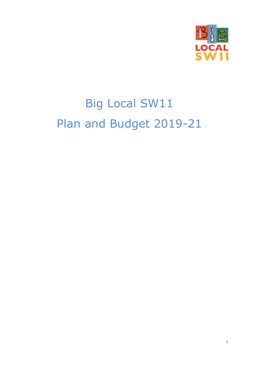

# Big Local SW11 Plan and Budget 2019-21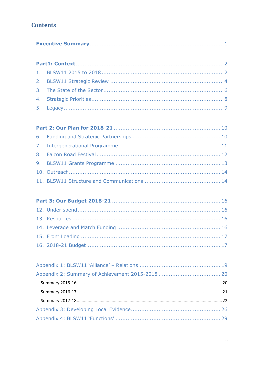# **Contents**

|--|--|--|--|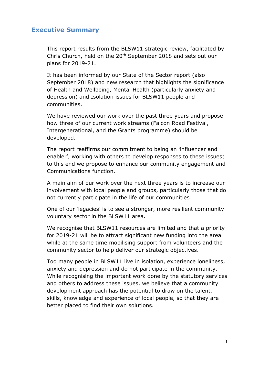# <span id="page-2-0"></span>**Executive Summary**

This report results from the BLSW11 strategic review, facilitated by Chris Church, held on the 20th September 2018 and sets out our plans for 2019-21.

It has been informed by our State of the Sector report (also September 2018) and new research that highlights the significance of Health and Wellbeing, Mental Health (particularly anxiety and depression) and Isolation issues for BLSW11 people and communities.

We have reviewed our work over the past three years and propose how three of our current work streams (Falcon Road Festival, Intergenerational, and the Grants programme) should be developed.

The report reaffirms our commitment to being an 'influencer and enabler', working with others to develop responses to these issues; to this end we propose to enhance our community engagement and Communications function.

A main aim of our work over the next three years is to increase our involvement with local people and groups, particularly those that do not currently participate in the life of our communities.

One of our 'legacies' is to see a stronger, more resilient community voluntary sector in the BLSW11 area.

We recognise that BLSW11 resources are limited and that a priority for 2019-21 will be to attract significant new funding into the area while at the same time mobilising support from volunteers and the community sector to help deliver our strategic objectives.

Too many people in BLSW11 live in isolation, experience loneliness, anxiety and depression and do not participate in the community. While recognising the important work done by the statutory services and others to address these issues, we believe that a community development approach has the potential to draw on the talent, skills, knowledge and experience of local people, so that they are better placed to find their own solutions.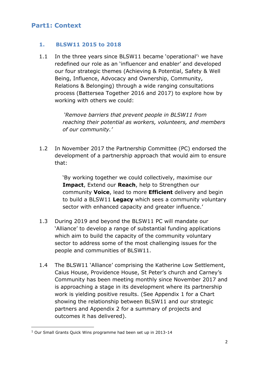# <span id="page-3-0"></span>**Part1: Context**

#### <span id="page-3-1"></span>**1. BLSW11 2015 to 2018**

1.1 In the three vears since BLSW11 became 'operational'<sup>1</sup> we have redefined our role as an 'influencer and enabler' and developed our four strategic themes (Achieving & Potential, Safety & Well Being, Influence, Advocacy and Ownership, Community, Relations & Belonging) through a wide ranging consultations process (Battersea Together 2016 and 2017) to explore how by working with others we could:

> *'Remove barriers that prevent people in BLSW11 from reaching their potential as workers, volunteers, and members of our community.'*

1.2 In November 2017 the Partnership Committee (PC) endorsed the development of a partnership approach that would aim to ensure that:

> 'By working together we could collectively, maximise our **Impact**, Extend our **Reach**, help to Strengthen our community **Voice**, lead to more **Efficient** delivery and begin to build a BLSW11 **Legacy** which sees a community voluntary sector with enhanced capacity and greater influence.'

- 1.3 During 2019 and beyond the BLSW11 PC will mandate our 'Alliance' to develop a range of substantial funding applications which aim to build the capacity of the community voluntary sector to address some of the most challenging issues for the people and communities of BLSW11.
- 1.4 The BLSW11 'Alliance' comprising the Katherine Low Settlement, Caius House, Providence House, St Peter's church and Carney's Community has been meeting monthly since November 2017 and is approaching a stage in its development where its partnership work is yielding positive results. (See Appendix 1 for a Chart showing the relationship between BLSW11 and our strategic partners and Appendix 2 for a summary of projects and outcomes it has delivered).

<sup>&</sup>lt;sup>1</sup> Our Small Grants Quick Wins programme had been set up in 2013-14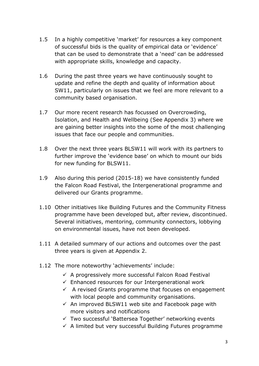- 1.5 In a highly competitive 'market' for resources a key component of successful bids is the quality of empirical data or 'evidence' that can be used to demonstrate that a 'need' can be addressed with appropriate skills, knowledge and capacity.
- 1.6 During the past three years we have continuously sought to update and refine the depth and quality of information about SW11, particularly on issues that we feel are more relevant to a community based organisation.
- 1.7 Our more recent research has focussed on Overcrowding, Isolation, and Health and Wellbeing (See Appendix 3) where we are gaining better insights into the some of the most challenging issues that face our people and communities.
- 1.8 Over the next three years BLSW11 will work with its partners to further improve the 'evidence base' on which to mount our bids for new funding for BLSW11.
- 1.9 Also during this period (2015-18) we have consistently funded the Falcon Road Festival, the Intergenerational programme and delivered our Grants programme.
- 1.10 Other initiatives like Building Futures and the Community Fitness programme have been developed but, after review, discontinued. Several initiatives, mentoring, community connectors, lobbying on environmental issues, have not been developed.
- 1.11 A detailed summary of our actions and outcomes over the past three years is given at Appendix 2.
- 1.12 The more noteworthy 'achievements' include:
	- $\checkmark$  A progressively more successful Falcon Road Festival
	- $\checkmark$  Enhanced resources for our Intergenerational work
	- $\checkmark$  A revised Grants programme that focuses on engagement with local people and community organisations.
	- $\checkmark$  An improved BLSW11 web site and Facebook page with more visitors and notifications
	- Two successful 'Battersea Together' networking events
	- $\checkmark$  A limited but very successful Building Futures programme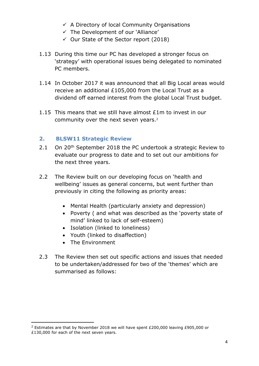- $\checkmark$  A Directory of local Community Organisations
- $\checkmark$  The Development of our 'Alliance'
- $\checkmark$  Our State of the Sector report (2018)
- 1.13 During this time our PC has developed a stronger focus on 'strategy' with operational issues being delegated to nominated PC members.
- 1.14 In October 2017 it was announced that all Big Local areas would receive an additional £105,000 from the Local Trust as a dividend off earned interest from the global Local Trust budget.
- 1.15 This means that we still have almost  $£1m$  to invest in our community over the next seven years.<sup>2</sup>

### <span id="page-5-0"></span>**2. BLSW11 Strategic Review**

- 2.1 On 20<sup>th</sup> September 2018 the PC undertook a strategic Review to evaluate our progress to date and to set out our ambitions for the next three years.
- 2.2 The Review built on our developing focus on 'health and wellbeing' issues as general concerns, but went further than previously in citing the following as priority areas:
	- Mental Health (particularly anxiety and depression)
	- Poverty ( and what was described as the 'poverty state of mind' linked to lack of self-esteem)
	- Isolation (linked to loneliness)
	- Youth (linked to disaffection)
	- The Environment

**.** 

2.3 The Review then set out specific actions and issues that needed to be undertaken/addressed for two of the 'themes' which are summarised as follows:

<sup>&</sup>lt;sup>2</sup> Estimates are that by November 2018 we will have spent £200,000 leaving £905,000 or £130,000 for each of the next seven years.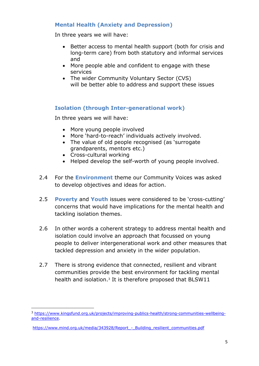## **Mental Health (Anxiety and Depression)**

In three years we will have:

- Better access to mental health support (both for crisis and long-term care) from both statutory and informal services and
- More people able and confident to engage with these services
- The wider Community Voluntary Sector (CVS) will be better able to address and support these issues

## **Isolation (through Inter-generational work)**

In three years we will have:

- More young people involved
- More 'hard-to-reach' individuals actively involved.
- The value of old people recognised (as 'surrogate grandparents, mentors etc.)
- Cross-cultural working
- Helped develop the self-worth of young people involved.
- 2.4 For the **Environment** theme our Community Voices was asked to develop objectives and ideas for action.
- 2.5 **Poverty** and **Youth** issues were considered to be 'cross-cutting' concerns that would have implications for the mental health and tackling isolation themes.
- 2.6 In other words a coherent strategy to address mental health and isolation could involve an approach that focussed on young people to deliver intergenerational work and other measures that tackled depression and anxiety in the wider population.
- 2.7 There is strong evidence that connected, resilient and vibrant communities provide the best environment for tackling mental health and isolation.<sup>3</sup> It is therefore proposed that BLSW11

1

<sup>3</sup> [https://www.kingsfund.org.uk/projects/improving-publics-health/strong-communities-wellbeing](https://www.kingsfund.org.uk/projects/improving-publics-health/strong-communities-wellbeing-and-resilience)[and-resilience.](https://www.kingsfund.org.uk/projects/improving-publics-health/strong-communities-wellbeing-and-resilience)

https://www.mind.org.uk/media/343928/Report - Building resilient communities.pdf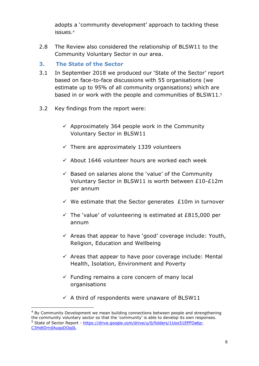adopts a 'community development' approach to tackling these issues.<sup>4</sup>

- 2.8 The Review also considered the relationship of BLSW11 to the Community Voluntary Sector in our area.
- <span id="page-7-0"></span>**3. The State of the Sector**
- 3.1 In September 2018 we produced our 'State of the Sector' report based on face-to-face discussions with 55 organisations (we estimate up to 95% of all community organisations) which are based in or work with the people and communities of BLSW11. 5
- 3.2 Key findings from the report were:
	- $\checkmark$  Approximately 364 people work in the Community Voluntary Sector in BLSW11
	- $\checkmark$  There are approximately 1339 volunteers
	- $\checkmark$  About 1646 volunteer hours are worked each week
	- $\checkmark$  Based on salaries alone the 'value' of the Community Voluntary Sector in BLSW11 is worth between £10-£12m per annum
	- $\checkmark$  We estimate that the Sector generates £10m in turnover
	- $\checkmark$  The 'value' of volunteering is estimated at £815,000 per annum
	- $\checkmark$  Areas that appear to have 'good' coverage include: Youth, Religion, Education and Wellbeing
	- $\checkmark$  Areas that appear to have poor coverage include: Mental Health, Isolation, Environment and Poverty
	- $\checkmark$  Funding remains a core concern of many local organisations
	- $\checkmark$  A third of respondents were unaware of BLSW11

<sup>4</sup> By Community Development we mean building connections between people and strengthening the community voluntary sector so that the 'community' is able to develop its own responses. <sup>5</sup> State of Sector Report - [https://drive.google.com/drive/u/0/folders/1Uox51EPFOa6p-](https://drive.google.com/drive/u/0/folders/1Uox51EPFOa6p-C3HdtDrnjlAuqoDOq0L)[C3HdtDrnjlAuqoDOq0L](https://drive.google.com/drive/u/0/folders/1Uox51EPFOa6p-C3HdtDrnjlAuqoDOq0L)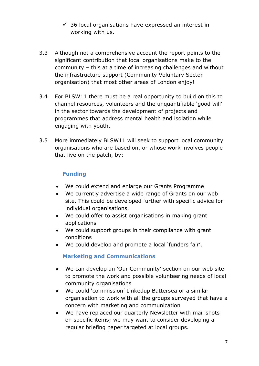- $\checkmark$  36 local organisations have expressed an interest in working with us.
- 3.3 Although not a comprehensive account the report points to the significant contribution that local organisations make to the community – this at a time of increasing challenges and without the infrastructure support (Community Voluntary Sector organisation) that most other areas of London enjoy!
- 3.4 For BLSW11 there must be a real opportunity to build on this to channel resources, volunteers and the unquantifiable 'good will' in the sector towards the development of projects and programmes that address mental health and isolation while engaging with youth.
- 3.5 More immediately BLSW11 will seek to support local community organisations who are based on, or whose work involves people that live on the patch, by:

# **Funding**

- We could extend and enlarge our Grants Programme
- We currently advertise a wide range of Grants on our web site. This could be developed further with specific advice for individual organisations.
- We could offer to assist organisations in making grant applications
- We could support groups in their compliance with grant conditions
- We could develop and promote a local 'funders fair'.

# **Marketing and Communications**

- We can develop an 'Our Community' section on our web site to promote the work and possible volunteering needs of local community organisations
- We could 'commission' Linkedup Battersea or a similar organisation to work with all the groups surveyed that have a concern with marketing and communication
- We have replaced our quarterly Newsletter with mail shots on specific items; we may want to consider developing a regular briefing paper targeted at local groups.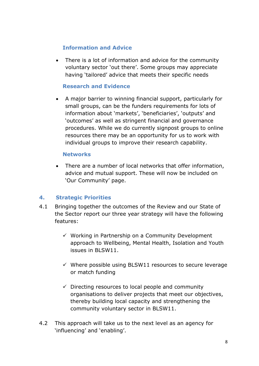## **Information and Advice**

 There is a lot of information and advice for the community voluntary sector 'out there'. Some groups may appreciate having 'tailored' advice that meets their specific needs

### **Research and Evidence**

 A major barrier to winning financial support, particularly for small groups, can be the funders requirements for lots of information about 'markets', 'beneficiaries', 'outputs' and 'outcomes' as well as stringent financial and governance procedures. While we do currently signpost groups to online resources there may be an opportunity for us to work with individual groups to improve their research capability.

### **Networks**

 There are a number of local networks that offer information, advice and mutual support. These will now be included on 'Our Community' page.

# <span id="page-9-0"></span>**4. Strategic Priorities**

- 4.1 Bringing together the outcomes of the Review and our State of the Sector report our three year strategy will have the following features:
	- $\checkmark$  Working in Partnership on a Community Development approach to Wellbeing, Mental Health, Isolation and Youth issues in BLSW11.
	- $\checkmark$  Where possible using BLSW11 resources to secure leverage or match funding
	- $\checkmark$  Directing resources to local people and community organisations to deliver projects that meet our objectives, thereby building local capacity and strengthening the community voluntary sector in BLSW11.
- 4.2 This approach will take us to the next level as an agency for 'influencing' and 'enabling'.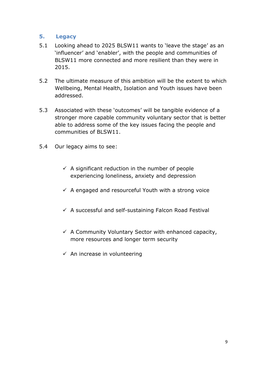## <span id="page-10-0"></span>**5. Legacy**

- 5.1 Looking ahead to 2025 BLSW11 wants to 'leave the stage' as an 'influencer' and 'enabler', with the people and communities of BLSW11 more connected and more resilient than they were in 2015.
- 5.2 The ultimate measure of this ambition will be the extent to which Wellbeing, Mental Health, Isolation and Youth issues have been addressed.
- 5.3 Associated with these 'outcomes' will be tangible evidence of a stronger more capable community voluntary sector that is better able to address some of the key issues facing the people and communities of BLSW11.
- 5.4 Our legacy aims to see:
	- $\checkmark$  A significant reduction in the number of people experiencing loneliness, anxiety and depression
	- $\checkmark$  A engaged and resourceful Youth with a strong voice
	- $\checkmark$  A successful and self-sustaining Falcon Road Festival
	- $\checkmark$  A Community Voluntary Sector with enhanced capacity, more resources and longer term security
	- $\checkmark$  An increase in volunteering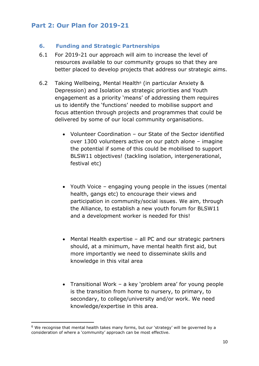# <span id="page-11-0"></span>**Part 2: Our Plan for 2019-21**

#### <span id="page-11-1"></span>**6. Funding and Strategic Partnerships**

- 6.1 For 2019-21 our approach will aim to increase the level of resources available to our community groups so that they are better placed to develop projects that address our strategic aims.
- 6.2 Taking Wellbeing, Mental Health<sup>6</sup> (in particular Anxiety & Depression) and Isolation as strategic priorities and Youth engagement as a priority 'means' of addressing them requires us to identify the 'functions' needed to mobilise support and focus attention through projects and programmes that could be delivered by some of our local community organisations.
	- Volunteer Coordination our State of the Sector identified over 1300 volunteers active on our patch alone – imagine the potential if some of this could be mobilised to support BLSW11 objectives! (tackling isolation, intergenerational, festival etc)
	- Youth Voice engaging young people in the issues (mental health, gangs etc) to encourage their views and participation in community/social issues. We aim, through the Alliance, to establish a new youth forum for BLSW11 and a development worker is needed for this!
	- Mental Health expertise all PC and our strategic partners should, at a minimum, have mental health first aid, but more importantly we need to disseminate skills and knowledge in this vital area
	- Transitional Work a key 'problem area' for young people is the transition from home to nursery, to primary, to secondary, to college/university and/or work. We need knowledge/expertise in this area.

<sup>6</sup> We recognise that mental health takes many forms, but our 'strategy' will be governed by a consideration of where a 'community' approach can be most effective.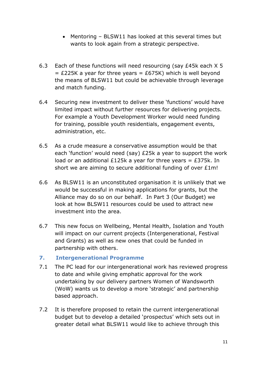- Mentoring BLSW11 has looked at this several times but wants to look again from a strategic perspective.
- 6.3 Each of these functions will need resourcing (say £45k each X 5  $=$  £225K a year for three years = £675K) which is well beyond the means of BLSW11 but could be achievable through leverage and match funding.
- 6.4 Securing new investment to deliver these 'functions' would have limited impact without further resources for delivering projects. For example a Youth Development Worker would need funding for training, possible youth residentials, engagement events, administration, etc.
- 6.5 As a crude measure a conservative assumption would be that each 'function' would need (say) £25k a year to support the work load or an additional £125k a year for three years = £375k. In short we are aiming to secure additional funding of over £1m!
- 6.6 As BLSW11 is an unconstituted organisation it is unlikely that we would be successful in making applications for grants, but the Alliance may do so on our behalf. In Part 3 (Our Budget) we look at how BLSW11 resources could be used to attract new investment into the area.
- 6.7 This new focus on Wellbeing, Mental Health, Isolation and Youth will impact on our current projects (Intergenerational, Festival and Grants) as well as new ones that could be funded in partnership with others.
- <span id="page-12-0"></span>**7. Intergenerational Programme**
- 7.1 The PC lead for our intergenerational work has reviewed progress to date and while giving emphatic approval for the work undertaking by our delivery partners Women of Wandsworth (WoW) wants us to develop a more 'strategic' and partnership based approach.
- 7.2 It is therefore proposed to retain the current intergenerational budget but to develop a detailed 'prospectus' which sets out in greater detail what BLSW11 would like to achieve through this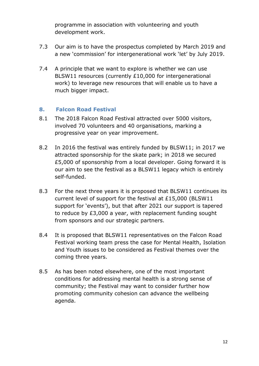programme in association with volunteering and youth development work.

- 7.3 Our aim is to have the prospectus completed by March 2019 and a new 'commission' for intergenerational work 'let' by July 2019.
- 7.4 A principle that we want to explore is whether we can use BLSW11 resources (currently £10,000 for intergenerational work) to leverage new resources that will enable us to have a much bigger impact.

### <span id="page-13-0"></span>**8. Falcon Road Festival**

- 8.1 The 2018 Falcon Road Festival attracted over 5000 visitors, involved 70 volunteers and 40 organisations, marking a progressive year on year improvement.
- 8.2 In 2016 the festival was entirely funded by BLSW11; in 2017 we attracted sponsorship for the skate park; in 2018 we secured £5,000 of sponsorship from a local developer. Going forward it is our aim to see the festival as a BLSW11 legacy which is entirely self-funded.
- 8.3 For the next three years it is proposed that BLSW11 continues its current level of support for the festival at £15,000 (BLSW11 support for 'events'), but that after 2021 our support is tapered to reduce by £3,000 a year, with replacement funding sought from sponsors and our strategic partners.
- 8.4 It is proposed that BLSW11 representatives on the Falcon Road Festival working team press the case for Mental Health, Isolation and Youth issues to be considered as Festival themes over the coming three years.
- 8.5 As has been noted elsewhere, one of the most important conditions for addressing mental health is a strong sense of community; the Festival may want to consider further how promoting community cohesion can advance the wellbeing agenda.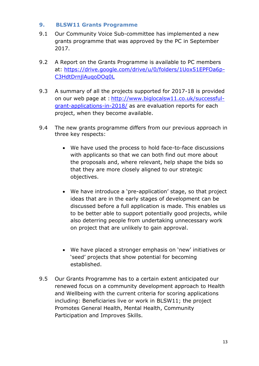#### <span id="page-14-0"></span>**9. BLSW11 Grants Programme**

- 9.1 Our Community Voice Sub-committee has implemented a new grants programme that was approved by the PC in September 2017.
- 9.2 A Report on the Grants Programme is available to PC members at: [https://drive.google.com/drive/u/0/folders/1Uox51EPFOa6p-](https://drive.google.com/drive/u/0/folders/1Uox51EPFOa6p-C3HdtDrnjlAuqoDOq0L)[C3HdtDrnjlAuqoDOq0L](https://drive.google.com/drive/u/0/folders/1Uox51EPFOa6p-C3HdtDrnjlAuqoDOq0L)
- 9.3 A summary of all the projects supported for 2017-18 is provided on our web page at : [http://www.biglocalsw11.co.uk/successful](http://www.biglocalsw11.co.uk/successful-grant-applications-in-2018/)[grant-applications-in-2018/](http://www.biglocalsw11.co.uk/successful-grant-applications-in-2018/) as are evaluation reports for each project, when they become available.
- 9.4 The new grants programme differs from our previous approach in three key respects:
	- We have used the process to hold face-to-face discussions with applicants so that we can both find out more about the proposals and, where relevant, help shape the bids so that they are more closely aligned to our strategic objectives.
	- We have introduce a 'pre-application' stage, so that project ideas that are in the early stages of development can be discussed before a full application is made. This enables us to be better able to support potentially good projects, while also deterring people from undertaking unnecessary work on project that are unlikely to gain approval.
	- We have placed a stronger emphasis on 'new' initiatives or 'seed' projects that show potential for becoming established.
- 9.5 Our Grants Programme has to a certain extent anticipated our renewed focus on a community development approach to Health and Wellbeing with the current criteria for scoring applications including: Beneficiaries live or work in BLSW11; the project Promotes General Health, Mental Health, Community Participation and Improves Skills.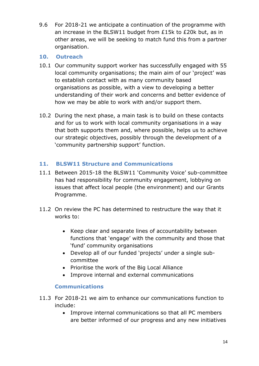9.6 For 2018-21 we anticipate a continuation of the programme with an increase in the BLSW11 budget from £15k to £20k but, as in other areas, we will be seeking to match fund this from a partner organisation.

## <span id="page-15-0"></span>**10. Outreach**

- 10.1 Our community support worker has successfully engaged with 55 local community organisations; the main aim of our 'project' was to establish contact with as many community based organisations as possible, with a view to developing a better understanding of their work and concerns and better evidence of how we may be able to work with and/or support them.
- 10.2 During the next phase, a main task is to build on these contacts and for us to work with local community organisations in a way that both supports them and, where possible, helps us to achieve our strategic objectives, possibly through the development of a 'community partnership support' function.

# <span id="page-15-1"></span>**11. BLSW11 Structure and Communications**

- 11.1 Between 2015-18 the BLSW11 'Community Voice' sub-committee has had responsibility for community engagement, lobbying on issues that affect local people (the environment) and our Grants Programme.
- 11.2 On review the PC has determined to restructure the way that it works to:
	- Keep clear and separate lines of accountability between functions that 'engage' with the community and those that 'fund' community organisations
	- Develop all of our funded 'projects' under a single subcommittee
	- Prioritise the work of the Big Local Alliance
	- Improve internal and external communications

# **Communications**

- 11.3 For 2018-21 we aim to enhance our communications function to include:
	- Improve internal communications so that all PC members are better informed of our progress and any new initiatives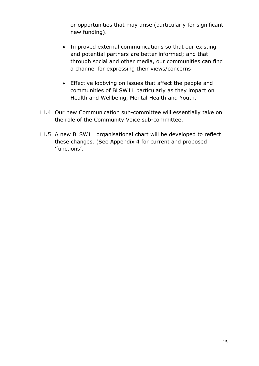or opportunities that may arise (particularly for significant new funding).

- Improved external communications so that our existing and potential partners are better informed; and that through social and other media, our communities can find a channel for expressing their views/concerns
- Effective lobbying on issues that affect the people and communities of BLSW11 particularly as they impact on Health and Wellbeing, Mental Health and Youth.
- 11.4 Our new Communication sub-committee will essentially take on the role of the Community Voice sub-committee.
- 11.5 A new BLSW11 organisational chart will be developed to reflect these changes. (See Appendix 4 for current and proposed 'functions'.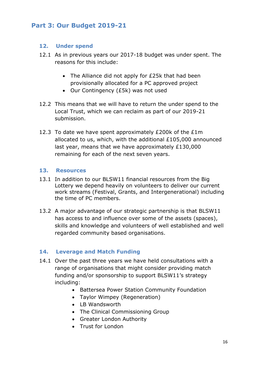# <span id="page-17-0"></span>**Part 3: Our Budget 2019-21**

## <span id="page-17-1"></span>**12. Under spend**

- 12.1 As in previous years our 2017-18 budget was under spent. The reasons for this include:
	- The Alliance did not apply for £25k that had been provisionally allocated for a PC approved project
	- Our Contingency (£5k) was not used
- 12.2 This means that we will have to return the under spend to the Local Trust, which we can reclaim as part of our 2019-21 submission.
- 12.3 To date we have spent approximately £200k of the £1m allocated to us, which, with the additional £105,000 announced last year, means that we have approximately £130,000 remaining for each of the next seven years.

### <span id="page-17-2"></span>**13. Resources**

- 13.1 In addition to our BLSW11 financial resources from the Big Lottery we depend heavily on volunteers to deliver our current work streams (Festival, Grants, and Intergenerational) including the time of PC members.
- 13.2 A major advantage of our strategic partnership is that BLSW11 has access to and influence over some of the assets (spaces), skills and knowledge and volunteers of well established and well regarded community based organisations.

### <span id="page-17-3"></span>**14. Leverage and Match Funding**

- 14.1 Over the past three years we have held consultations with a range of organisations that might consider providing match funding and/or sponsorship to support BLSW11's strategy including:
	- Battersea Power Station Community Foundation
	- Taylor Wimpey (Regeneration)
	- LB Wandsworth
	- The Clinical Commissioning Group
	- Greater London Authority
	- Trust for London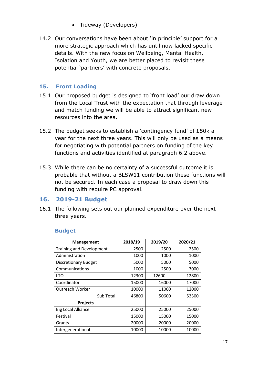- Tideway (Developers)
- 14.2 Our conversations have been about 'in principle' support for a more strategic approach which has until now lacked specific details. With the new focus on Wellbeing, Mental Health, Isolation and Youth, we are better placed to revisit these potential 'partners' with concrete proposals.

## <span id="page-18-0"></span>**15. Front Loading**

- 15.1 Our proposed budget is designed to 'front load' our draw down from the Local Trust with the expectation that through leverage and match funding we will be able to attract significant new resources into the area.
- 15.2 The budget seeks to establish a 'contingency fund' of £50k a year for the next three years. This will only be used as a means for negotiating with potential partners on funding of the key functions and activities identified at paragraph 6.2 above.
- 15.3 While there can be no certainty of a successful outcome it is probable that without a BLSW11 contribution these functions will not be secured. In each case a proposal to draw down this funding with require PC approval.

# <span id="page-18-1"></span>**16. 2019-21 Budget**

16.1 The following sets out our planned expenditure over the next three years.

| <b>Management</b>               | 2018/19 | 2019/20 | 2020/21 |
|---------------------------------|---------|---------|---------|
| <b>Training and Development</b> | 2500    | 2500    | 2500    |
| Administration                  | 1000    | 1000    | 1000    |
| <b>Discretionary Budget</b>     | 5000    | 5000    | 5000    |
| Communications                  | 1000    | 2500    | 3000    |
| LTO                             | 12300   | 12600   | 12800   |
| Coordinator                     | 15000   | 16000   | 17000   |
| Outreach Worker                 | 10000   | 11000   | 12000   |
| Sub Total                       | 46800   | 50600   | 53300   |
| <b>Projects</b>                 |         |         |         |
| <b>Big Local Alliance</b>       | 25000   | 25000   | 25000   |
| Festival                        | 15000   | 15000   | 15000   |
| Grants                          | 20000   | 20000   | 20000   |
| Intergenerational               | 10000   | 10000   | 10000   |

#### **Budget**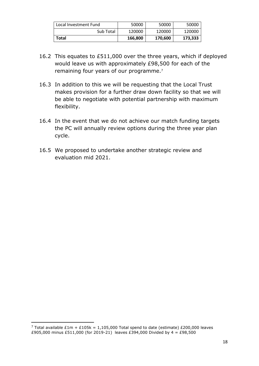| Local Investment Fund | 50000   | 50000   | 50000   |
|-----------------------|---------|---------|---------|
| Sub Total             | 120000  | 120000  | 120000  |
| <b>Total</b>          | 166,800 | 170,600 | 173,333 |

- 16.2 This equates to £511,000 over the three years, which if deployed would leave us with approximately £98,500 for each of the remaining four years of our programme.<sup>7</sup>
- 16.3 In addition to this we will be requesting that the Local Trust makes provision for a further draw down facility so that we will be able to negotiate with potential partnership with maximum flexibility.
- 16.4 In the event that we do not achieve our match funding targets the PC will annually review options during the three year plan cycle.
- 16.5 We proposed to undertake another strategic review and evaluation mid 2021.

<sup>&</sup>lt;sup>7</sup> Total available £1m + £105k = 1,105,000 Total spend to date (estimate) £200,000 leaves £905,000 minus £511,000 (for 2019-21) leaves £394,000 Divided by  $4 = £98,500$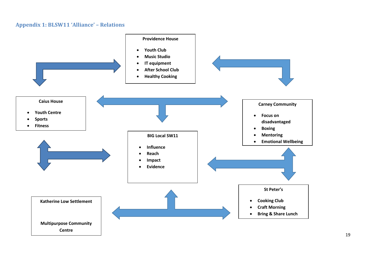#### **Appendix 1: BLSW11 'Alliance' – Relations**

<span id="page-20-0"></span>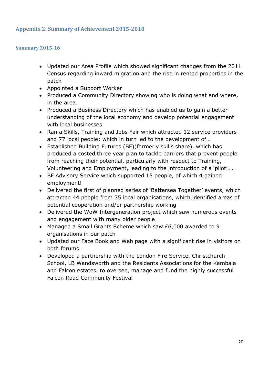## <span id="page-21-0"></span>**Appendix 2: Summary of Achievement 2015-2018**

#### <span id="page-21-1"></span>**Summary 2015-16**

- Updated our Area Profile which showed significant changes from the 2011 Census regarding inward migration and the rise in rented properties in the patch
- Appointed a Support Worker
- Produced a Community Directory showing who is doing what and where, in the area.
- Produced a Business Directory which has enabled us to gain a better understanding of the local economy and develop potential engagement with local businesses.
- Ran a Skills, Training and Jobs Fair which attracted 12 service providers and 77 local people; which in turn led to the development of…
- Established Building Futures (BF)(formerly skills share), which has produced a costed three year plan to tackle barriers that prevent people from reaching their potential, particularly with respect to Training, Volunteering and Employment, leading to the introduction of a 'pilot'….
- BF Advisory Service which supported 15 people, of which 4 gained employment!
- Delivered the first of planned series of 'Battersea Together' events, which attracted 44 people from 35 local organisations, which identified areas of potential cooperation and/or partnership working
- Delivered the WoW Intergeneration project which saw numerous events and engagement with many older people
- Managed a Small Grants Scheme which saw £6,000 awarded to 9 organisations in our patch
- Updated our Face Book and Web page with a significant rise in visitors on both forums.
- Developed a partnership with the London Fire Service, Christchurch School, LB Wandsworth and the Residents Associations for the Kambala and Falcon estates, to oversee, manage and fund the highly successful Falcon Road Community Festival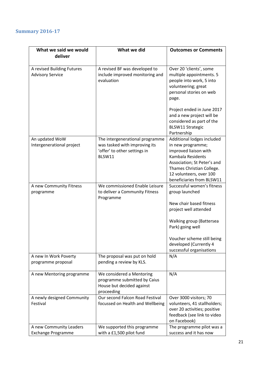#### <span id="page-22-0"></span>**Summary 2016-17**

| What we said we would                                 | What we did                                                                                                | <b>Outcomes or Comments</b>                                                                                                                                                                                                          |
|-------------------------------------------------------|------------------------------------------------------------------------------------------------------------|--------------------------------------------------------------------------------------------------------------------------------------------------------------------------------------------------------------------------------------|
| deliver                                               |                                                                                                            |                                                                                                                                                                                                                                      |
| A revised Building Futures<br><b>Advisory Service</b> | A revised BF was developed to<br>include improved monitoring and<br>evaluation                             | Over 20 'clients', some<br>multiple appointments. 5<br>people into work, 5 into<br>volunteering; great<br>personal stories on web<br>page.                                                                                           |
|                                                       |                                                                                                            | Project ended in June 2017<br>and a new project will be<br>considered as part of the<br><b>BLSW11 Strategic</b><br>Partnership                                                                                                       |
| An updated WoW<br>Intergenerational project           | The intergenerational programme<br>was tasked with improving its<br>'offer' to other settings in<br>BLSW11 | Additional lodges included<br>in new programme;<br>improved liaison with<br>Kambala Residents<br>Association; St Peter's and<br>Thames Christian College.<br>12 volunteers, over 100<br>beneficiaries from BLSW11                    |
| A new Community Fitness<br>programme                  | We commissioned Enable Leisure<br>to deliver a Community Fitness<br>Programme                              | Successful women's fitness<br>group launched<br>New chair based fitness<br>project well attended<br>Walking group (Battersea<br>Park) going well<br>Voucher scheme still being<br>developed (Currently 4<br>successful organisations |
| A new In Work Poverty<br>programme proposal           | The proposal was put on hold<br>pending a review by KLS.                                                   | N/A                                                                                                                                                                                                                                  |
| A new Mentoring programme                             | We considered a Mentoring<br>programme submitted by Caius<br>House but decided against<br>proceeding       | N/A                                                                                                                                                                                                                                  |
| A newly designed Community<br>Festival                | Our second Falcon Road Festival<br>focussed on Health and Wellbeing                                        | Over 3000 visitors; 70<br>volunteers, 41 stallholders;<br>over 20 activities; positive<br>feedback (see link to video<br>on Facebook)                                                                                                |
| A new Community Leaders<br><b>Exchange Programme</b>  | We supported this programme<br>with a £1,500 pilot fund                                                    | The programme pilot was a<br>success and it has now                                                                                                                                                                                  |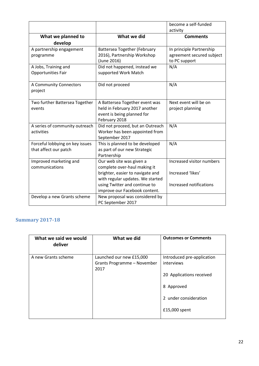|                                                          |                                                                                                                                                                                                    | become a self-funded<br>activity                                          |
|----------------------------------------------------------|----------------------------------------------------------------------------------------------------------------------------------------------------------------------------------------------------|---------------------------------------------------------------------------|
| What we planned to<br>develop                            | What we did                                                                                                                                                                                        | <b>Comments</b>                                                           |
| A partnership engagement<br>programme                    | <b>Battersea Together (February</b><br>2016), Partnership Workshop<br>(June 2016)                                                                                                                  | In principle Partnership<br>agreement secured subject<br>to PC support    |
| A Jobs, Training and<br><b>Opportunities Fair</b>        | Did not happened, instead we<br>supported Work Match                                                                                                                                               | N/A                                                                       |
| A Community Connectors<br>project                        | Did not proceed                                                                                                                                                                                    | N/A                                                                       |
| Two further Battersea Together<br>events                 | A Battersea Together event was<br>held in February 2017 another<br>event is being planned for<br>February 2018                                                                                     | Next event will be on<br>project planning                                 |
| A series of community outreach<br>activities             | Did not proceed, but an Outreach<br>Worker has been appointed from<br>September 2017                                                                                                               | N/A                                                                       |
| Forceful lobbying on key issues<br>that affect our patch | This is planned to be developed<br>as part of our new Strategic<br>Partnership                                                                                                                     | N/A                                                                       |
| Improved marketing and<br>communications                 | Our web site was given a<br>complete over-haul making it<br>brighter, easier to navigate and<br>with regular updates. We started<br>using Twitter and continue to<br>improve our Facebook content. | Increased visitor numbers<br>Increased 'likes'<br>Increased notifications |
| Develop a new Grants scheme                              | New proposal was considered by<br>PC September 2017                                                                                                                                                |                                                                           |

# <span id="page-23-0"></span>**Summary 2017-18**

| What we said we would<br>deliver | What we did                                                     | <b>Outcomes or Comments</b>              |
|----------------------------------|-----------------------------------------------------------------|------------------------------------------|
| A new Grants scheme              | Launched our new £15,000<br>Grants Programme - November<br>2017 | Introduced pre-application<br>interviews |
|                                  |                                                                 | 20 Applications received                 |
|                                  |                                                                 | 8 Approved                               |
|                                  |                                                                 | 2 under consideration                    |
|                                  |                                                                 | £15,000 spent                            |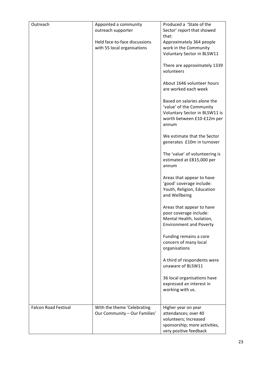| Outreach                    | Appointed a community<br>outreach supporter<br>Held face-to-face discussions<br>with 55 local organisations | Produced a 'State of the<br>Sector' report that showed<br>that:<br>Approximately 364 people<br>work in the Community<br>Voluntary Sector in BLSW11<br>There are approximately 1339<br>volunteers<br>About 1646 volunteer hours<br>are worked each week<br>Based on salaries alone the<br>'value' of the Community<br>Voluntary Sector in BLSW11 is<br>worth between £10-£12m per<br>annum<br>We estimate that the Sector<br>generates £10m in turnover<br>The 'value' of volunteering is<br>estimated at £815,000 per<br>annum<br>Areas that appear to have<br>'good' coverage include:<br>Youth, Religion, Education<br>and Wellbeing<br>Areas that appear to have<br>poor coverage include:<br>Mental Health, Isolation,<br><b>Environment and Poverty</b><br>Funding remains a core<br>concern of many local<br>organisations<br>A third of respondents were<br>unaware of BLSW11 |
|-----------------------------|-------------------------------------------------------------------------------------------------------------|--------------------------------------------------------------------------------------------------------------------------------------------------------------------------------------------------------------------------------------------------------------------------------------------------------------------------------------------------------------------------------------------------------------------------------------------------------------------------------------------------------------------------------------------------------------------------------------------------------------------------------------------------------------------------------------------------------------------------------------------------------------------------------------------------------------------------------------------------------------------------------------|
|                             |                                                                                                             | 36 local organisations have<br>expressed an interest in<br>working with us.                                                                                                                                                                                                                                                                                                                                                                                                                                                                                                                                                                                                                                                                                                                                                                                                          |
| <b>Falcon Road Festival</b> | With the theme 'Celebrating<br>Our Community - Our Families'                                                | Higher year on year<br>attendances; over 40<br>volunteers; Increased<br>sponsorship; more activities,<br>very positive feedback                                                                                                                                                                                                                                                                                                                                                                                                                                                                                                                                                                                                                                                                                                                                                      |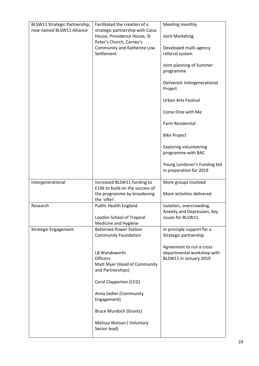| BLSW11 Strategic Partnership, | Facilitated the creation of a                                 | Meeting monthly                                      |
|-------------------------------|---------------------------------------------------------------|------------------------------------------------------|
| now named BLSW11 Alliance     | strategic partnership with Caius                              |                                                      |
|                               | House, Providence House, St<br>Peter's Church, Carney's       | Joint Marketing                                      |
|                               | Community and Katherine Low                                   | Developed multi-agency                               |
|                               | Settlement                                                    | referral system                                      |
|                               |                                                               | Joint planning of Summer                             |
|                               |                                                               | programme                                            |
|                               |                                                               | Delivered: Intergenerational                         |
|                               |                                                               | Project                                              |
|                               |                                                               | <b>Urban Arts Festival</b>                           |
|                               |                                                               | Come Dine with Me                                    |
|                               |                                                               | <b>Farm Residential</b>                              |
|                               |                                                               | <b>Bike Project</b>                                  |
|                               |                                                               | <b>Exploring volunteering</b>                        |
|                               |                                                               | programme with BAC                                   |
|                               |                                                               | Young Londoner's Funding bid                         |
|                               |                                                               | in preparation for 2019                              |
| Intergenerational             | Increased BLSW11 funding to                                   | More groups involved                                 |
|                               |                                                               |                                                      |
|                               | £10k to build on the success of                               |                                                      |
|                               | the programme by broadening<br>the 'offer'.                   | More activities delivered                            |
| Research                      | <b>Public Health England</b>                                  | Isolation, overcrowding,                             |
|                               |                                                               | Anxiety and Depression, key                          |
|                               | London School of Tropical                                     | issues for BLSW11                                    |
|                               | Medicine and Hygiene                                          |                                                      |
| <b>Strategic Engagement</b>   | <b>Battersea Power Station</b><br><b>Community Foundation</b> | In principle support for a<br>Strategic partnership  |
|                               |                                                               |                                                      |
|                               | LB Wandsworth                                                 | Agreement to run a cross                             |
|                               | Officers:                                                     | departmental workshop with<br>BLSW11 in January 2019 |
|                               | Matt Myer (Head of Community                                  |                                                      |
|                               | and Partnerships)                                             |                                                      |
|                               | Carol Clapperton (CCG)                                        |                                                      |
|                               | Anna Sadler (Community                                        |                                                      |
|                               | Engagement)                                                   |                                                      |
|                               | <b>Bruce Murdoch (Grants)</b>                                 |                                                      |
|                               | Melissa Watson (Voluntary<br>Sector lead)                     |                                                      |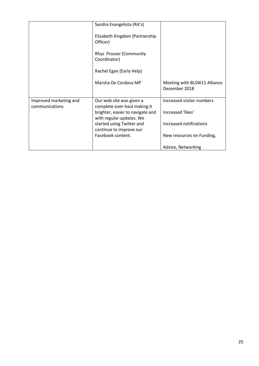|                                          | Sandra Evangelista (RA's)                                    |                              |
|------------------------------------------|--------------------------------------------------------------|------------------------------|
|                                          | Elizabeth Kingdom (Partnership<br>Officer)                   |                              |
|                                          | Rhys Prosser (Community<br>Coordinator)                      |                              |
|                                          | Rachel Egan (Early Help)                                     |                              |
|                                          | Marsha De Cordova MP                                         | Meeting with BLSW11 Alliance |
|                                          |                                                              | December 2018                |
| Improved marketing and<br>communications | Our web site was given a<br>complete over-haul making it     | Increased visitor numbers    |
|                                          | brighter, easier to navigate and<br>with regular updates. We | Increased 'likes'            |
|                                          | started using Twitter and                                    | Increased notifications      |
|                                          | continue to improve our<br>Facebook content.                 | New resources on Funding,    |
|                                          |                                                              | Advice, Networking           |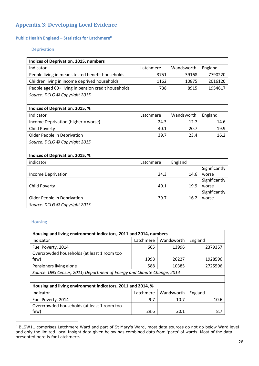# <span id="page-27-0"></span>**Appendix 3: Developing Local Evidence**

#### **Public Health England – Statistics for Latchmere<sup>8</sup>**

#### Deprivation

| <b>Indices of Deprivation, 2015, numbers</b>        |           |            |               |
|-----------------------------------------------------|-----------|------------|---------------|
| Indicator                                           | Latchmere | Wandsworth | England       |
| People living in means tested benefit households    | 3751      | 39168      | 7790220       |
| Children living in income deprived households       | 1162      | 10875      | 2016120       |
| People aged 60+ living in pension credit households | 738       | 8915       | 1954617       |
| Source: DCLG © Copyright 2015                       |           |            |               |
|                                                     |           |            |               |
| Indices of Deprivation, 2015, %                     |           |            |               |
| Indicator                                           | Latchmere | Wandsworth | England       |
| Income Deprivation (higher = worse)                 | 24.3      | 12.7       | 14.6          |
| Child Poverty                                       | 40.1      | 20.7       | 19.9          |
| Older People in Deprivation                         | 39.7      | 23.4       | 16.2          |
| Source: DCLG © Copyright 2015                       |           |            |               |
|                                                     |           |            |               |
| Indices of Deprivation, 2015, %                     |           |            |               |
| indicator                                           | Latchmere | England    |               |
|                                                     |           |            | Significantly |
| <b>Income Deprivation</b>                           | 24.3      | 14.6       | worse         |
|                                                     |           |            | Significantly |
| Child Poverty                                       | 40.1      | 19.9       | worse         |
|                                                     |           |            | Significantly |
| Older People in Deprivation                         | 39.7      | 16.2       | worse         |
| Source: DCLG © Copyright 2015                       |           |            |               |

#### Housing

| Housing and living environment indicators, 2011 and 2014, numbers       |           |            |         |  |  |
|-------------------------------------------------------------------------|-----------|------------|---------|--|--|
| Indicator                                                               | Latchmere | Wandsworth | England |  |  |
| Fuel Poverty, 2014                                                      | 665       | 13996      | 2379357 |  |  |
| Overcrowded households (at least 1 room too                             |           |            |         |  |  |
| few)                                                                    | 1998      | 26227      | 1928596 |  |  |
| Pensioners living alone                                                 | 588       | 10385      | 2725596 |  |  |
| Source: ONS Census, 2011; Department of Energy and Climate Change, 2014 |           |            |         |  |  |
|                                                                         |           |            |         |  |  |
| Housing and living environment indicators, 2011 and 2014, %             |           |            |         |  |  |
| Indicator                                                               | Latchmere | Wandsworth | England |  |  |
| Fuel Poverty, 2014                                                      | 9.7       | 10.7       | 10.6    |  |  |
| Overcrowded households (at least 1 room too                             |           |            |         |  |  |
| few)                                                                    | 29.6      | 20.1       | 8.      |  |  |

<sup>&</sup>lt;sup>8</sup> BLSW11 comprises Latchmere Ward and part of St Mary's Ward, most data sources do not go below Ward level and only the limited Local Insight data given below has combined data from 'parts' of wards. Most of the data presented here is for Latchmere.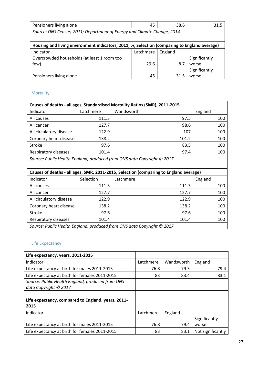| Pensioners living alone                                                |  | 38.6 |  |
|------------------------------------------------------------------------|--|------|--|
| Course ONCO and 3044; Denomines of Consumers of Clinical Changes, 2044 |  |      |  |

*Source: ONS Census, 2011; Department of Energy and Climate Change, 2014*

| Housing and living environment indicators, 2011, %, Selection (comparing to England average) |      |      |               |  |  |
|----------------------------------------------------------------------------------------------|------|------|---------------|--|--|
| indicator<br>Latchmere<br>England                                                            |      |      |               |  |  |
| Overcrowded households (at least 1 room too                                                  |      |      | Significantly |  |  |
| few)                                                                                         | 29.6 | 8.7  | worse         |  |  |
|                                                                                              |      |      | Significantly |  |  |
| Pensioners living alone                                                                      | 45   | 31.5 | worse         |  |  |

#### **Mortality**

| Causes of deaths - all ages, Standardised Mortality Ratios (SMR), 2011-2015 |           |            |         |  |
|-----------------------------------------------------------------------------|-----------|------------|---------|--|
| Indicator                                                                   | Latchmere | Wandsworth | England |  |
| All causes                                                                  | 111.3     | 97.5       | 100     |  |
| All cancer                                                                  | 127.7     | 98.6       | 100     |  |
| All circulatory disease                                                     | 122.9     | 107        | 100     |  |
| Coronary heart disease                                                      | 138.2     | 101.2      | 100     |  |
| <b>Stroke</b>                                                               | 97.6      | 83.5       | 100     |  |
| Respiratory diseases                                                        | 101.4     | 97.4       | 100     |  |
| Source: Public Health England, produced from ONS data Copyright © 2017      |           |            |         |  |

| Causes of deaths - all ages, SMR, 2011-2015, Selection (comparing to England average) |           |           |         |  |
|---------------------------------------------------------------------------------------|-----------|-----------|---------|--|
| indicator                                                                             | Selection | Latchmere | England |  |
| All causes                                                                            | 111.3     | 111.3     | 100     |  |
| All cancer                                                                            | 127.7     | 127.7     | 100     |  |
| All circulatory disease                                                               | 122.9     | 122.9     | 100     |  |
| Coronary heart disease                                                                | 138.2     | 138.2     | 100     |  |
| <b>Stroke</b>                                                                         | 97.6      | 97.6      | 100     |  |
| Respiratory diseases                                                                  | 101.4     | 101.4     | 100     |  |
| Source: Public Health England, produced from ONS data Copyright © 2017                |           |           |         |  |

#### Life Expectancy

| Life expectancy, years, 2011-2015                  |           |            |                   |
|----------------------------------------------------|-----------|------------|-------------------|
| indicator                                          | Latchmere | Wandsworth | England           |
| Life expectancy at birth for males 2011-2015       | 76.8      | 79.5       | 79.4              |
| Life expectancy at birth for females 2011-2015     | 83        | 83.4       | 83.1              |
| Source: Public Health England, produced from ONS   |           |            |                   |
| data Copyright © 2017                              |           |            |                   |
|                                                    |           |            |                   |
| Life expectancy, compared to England, years, 2011- |           |            |                   |
| 2015                                               |           |            |                   |
| indicator                                          | Latchmere | England    |                   |
|                                                    |           |            | Significantly     |
| Life expectancy at birth for males 2011-2015       | 76.8      | 79.4       | worse             |
| Life expectancy at birth for females 2011-2015     | 83        | 83.1       | Not significantly |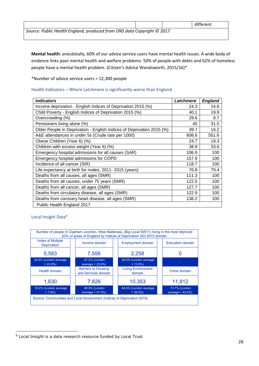|                                                                        |  | different |
|------------------------------------------------------------------------|--|-----------|
| Source: Public Health England, produced from ONS data Copyright © 2017 |  |           |

**Mental health:** anecdotally, 60% of our advice service users have mental health issues. A wide body of evidence links poor mental health and welfare problems: 50% of people with debts and 62% of homeless people have a mental health problem. (Citizen's Advice Wandsworth, 2015/16)\*

\*Number of advice service users = 12,300 people

#### Health Indicators – Where Latchmere is significantly worse than England

| <b>Indicators</b>                                                     | <b>Latchmere</b> | <b>England</b> |
|-----------------------------------------------------------------------|------------------|----------------|
| Income deprivation - English Indices of Deprivation 2015 (%)          | 24.3             | 14.6           |
| Child Poverty - English Indices of Deprivation 2015 (%)               | 40.1             | 19.9           |
| Overcrowding (%)                                                      | 29.6             | 8.7            |
| Pensioners living alone (%)                                           | 45               | 31.5           |
| Older People in Deprivation - English Indices of Deprivation 2015 (%) | 39.7             | 16.2           |
| A&E attendances in under 5s (Crude rate per 1000)                     | 608.6            | 551.6          |
| Obese Children (Year 6) (%)                                           | 24.7             | 19.3           |
| Children with excess weight (Year 6) (%)                              | 38.9             | 33.6           |
| Emergency hospital admissions for all causes (SAR)                    | 106.9            | 100            |
| Emergency hospital admissions for COPD                                | 157.9            | 100            |
| Incidence of all cancer (SIR)                                         | 118.7            | 100            |
| Life expectancy at birth for males, 2011-2015 (years)                 | 76.8             | 79.4           |
| Deaths from all causes, all ages (SMR)                                | 111.3            | 100            |
| Deaths from all causes, under 75 years (SMR)                          | 122.5            | 100            |
| Deaths from all cancer, all ages (SMR)                                | 127.7            | 100            |
| Deaths from circulatory disease, all ages (SMR)                       | 122.9            | 100            |
| Deaths from coronary heart disease, all ages (SMR)                    | 138.2            | 100            |
| Public Health England 2017                                            |                  |                |



Local Insight Data<sup>9</sup>

 $9$  Local Insight is a data research resource funded by Local Trust